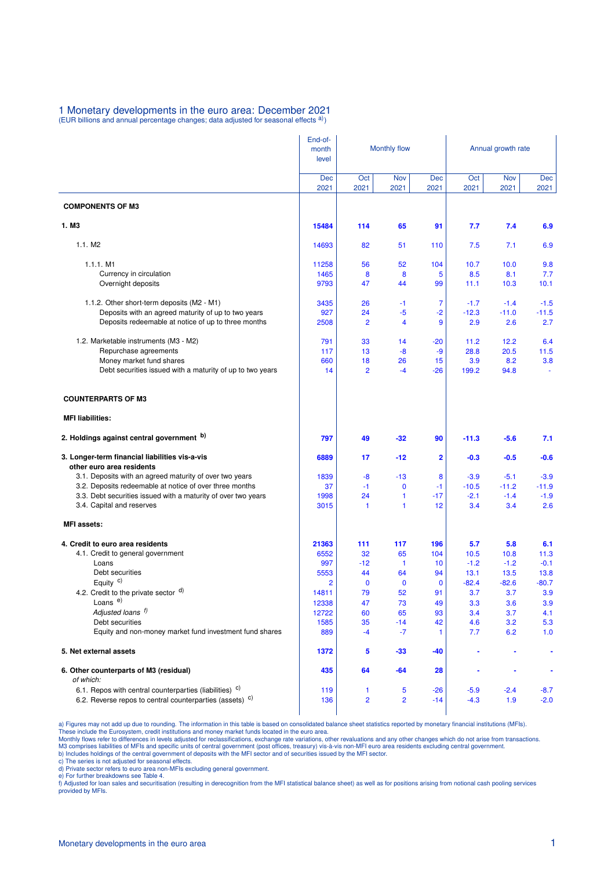## **1 Monetary developments in the euro area: December 2021**<br>(EUR billions and annual percentage changes; data adjusted for seasonal effects <sup>a)</sup>)

|                                                                                            | End-of-<br>month<br>level | <b>Monthly flow</b> |                      |              | Annual growth rate |                |                |  |
|--------------------------------------------------------------------------------------------|---------------------------|---------------------|----------------------|--------------|--------------------|----------------|----------------|--|
|                                                                                            | Dec<br>2021               | Oct<br>2021         | Nov<br>2021          | Dec<br>2021  | Oct<br>2021        | Nov<br>2021    | Dec<br>2021    |  |
| <b>COMPONENTS OF M3</b>                                                                    |                           |                     |                      |              |                    |                |                |  |
| 1. M <sub>3</sub>                                                                          | 15484                     | 114                 | 65                   | 91           | 7.7                | 7.4            | 6.9            |  |
| 1.1. M2                                                                                    | 14693                     | 82                  | 51                   | 110          | 7.5                | 7.1            | 6.9            |  |
| 1.1.1. M1                                                                                  | 11258                     | 56                  | 52                   | 104          | 10.7               | 10.0           | 9.8            |  |
| Currency in circulation                                                                    | 1465                      | 8                   | 8                    | 5            | 8.5                | 8.1            | 7.7            |  |
| Overnight deposits                                                                         | 9793                      | 47                  | 44                   | 99           | 11.1               | 10.3           | 10.1           |  |
| 1.1.2. Other short-term deposits (M2 - M1)                                                 | 3435                      | 26                  | $-1$                 | 7            | $-1.7$             | $-1.4$         | $-1.5$         |  |
| Deposits with an agreed maturity of up to two years                                        | 927                       | 24                  | $-5$                 | $-2$         | $-12.3$            | $-11.0$        | $-11.5$        |  |
| Deposits redeemable at notice of up to three months                                        | 2508                      | $\overline{2}$      | 4                    | 9            | 2.9                | 2.6            | 2.7            |  |
| 1.2. Marketable instruments (M3 - M2)                                                      | 791                       | 33                  | 14                   | $-20$        | 11.2               | 12.2           | 6.4            |  |
| Repurchase agreements                                                                      | 117                       | 13                  | -8                   | -9           | 28.8               | 20.5           | 11.5           |  |
| Money market fund shares                                                                   | 660                       | 18                  | 26                   | 15           | 3.9                | 8.2            | 3.8            |  |
| Debt securities issued with a maturity of up to two years                                  | 14                        | $\overline{2}$      | $-4$                 | $-26$        | 199.2              | 94.8           |                |  |
| <b>COUNTERPARTS OF M3</b>                                                                  |                           |                     |                      |              |                    |                |                |  |
| <b>MFI liabilities:</b>                                                                    |                           |                     |                      |              |                    |                |                |  |
| 2. Holdings against central government b)                                                  | 797                       | 49                  | $-32$                | 90           | $-11.3$            | $-5.6$         | 7.1            |  |
| 3. Longer-term financial liabilities vis-a-vis<br>other euro area residents                | 6889                      | 17                  | $-12$                | 2            | $-0.3$             | $-0.5$         | $-0.6$         |  |
| 3.1. Deposits with an agreed maturity of over two years                                    | 1839                      | $-8$                | $-13$                | 8            | $-3.9$             | $-5.1$         | $-3.9$         |  |
| 3.2. Deposits redeemable at notice of over three months                                    | 37                        | $-1$                | $\mathbf 0$          | $-1$         | $-10.5$            | $-11.2$        | $-11.9$        |  |
| 3.3. Debt securities issued with a maturity of over two years<br>3.4. Capital and reserves | 1998<br>3015              | 24<br>1             | 1<br>$\mathbf{1}$    | $-17$<br>12  | $-2.1$<br>3.4      | $-1.4$<br>3.4  | $-1.9$<br>2.6  |  |
| <b>MFI</b> assets:                                                                         |                           |                     |                      |              |                    |                |                |  |
|                                                                                            |                           |                     |                      |              |                    |                |                |  |
| 4. Credit to euro area residents                                                           | 21363                     | 111                 | 117                  | 196          | 5.7                | 5.8            | 6.1            |  |
| 4.1. Credit to general government<br>Loans                                                 | 6552<br>997               | 32<br>$-12$         | 65<br>$\overline{1}$ | 104<br>10    | 10.5<br>$-1.2$     | 10.8<br>$-1.2$ | 11.3<br>$-0.1$ |  |
| Debt securities                                                                            | 5553                      | 44                  | 64                   | 94           | 13.1               | 13.5           | 13.8           |  |
| Equity $c)$                                                                                | 2                         | 0                   | $\mathbf 0$          | $\mathbf{0}$ | $-82.4$            | $-82.6$        | $-80.7$        |  |
| 4.2. Credit to the private sector $d$ )                                                    | 14811                     | 79                  | 52                   | 91           | 3.7                | 3.7            | 3.9            |  |
| Loans <sup>e)</sup>                                                                        | 12338                     | 47                  | 73                   | 49           | 3.3                | 3.6            | 3.9            |  |
| Adjusted loans f)<br>Debt securities                                                       | 12722                     | 60                  | 65                   | 93           | 3.4                | 3.7            | 4.1            |  |
| Equity and non-money market fund investment fund shares                                    | 1585<br>889               | 35<br>$-4$          | $-14$<br>$-7$        | 42<br>1      | 4.6<br>7.7         | 3.2<br>6.2     | 5.3<br>1.0     |  |
|                                                                                            |                           |                     |                      |              |                    |                |                |  |
| 5. Net external assets                                                                     | 1372                      | 5                   | -33                  | -40          |                    |                |                |  |
| 6. Other counterparts of M3 (residual)<br>of which:                                        | 435                       | 64                  | -64                  | 28           |                    |                |                |  |
| 6.1. Repos with central counterparties (liabilities) <sup>c)</sup>                         | 119                       | 1                   | 5                    | $-26$        | $-5.9$             | $-2.4$         | $-8.7$         |  |
| 6.2. Reverse repos to central counterparties (assets) <sup>c)</sup>                        | 136                       | $\overline{2}$      | $\overline{2}$       | $-14$        | $-4.3$             | 1.9            | $-2.0$         |  |

a) Figures may not add up due to rounding. The information in this table is based on consolidated balance sheet statistics reported by monetary financial institutions (MFIs).<br>These include the Eurosystem, credit institutio

c) The series is not adjusted for seasonal effects. d) Private sector refers to euro area non-MFIs excluding general government.

e) For further breakdowns see Table 4.<br>f) Adjusted for loan sales and securitisation (resulting in derecognition from the MFI statistical balance sheet) as well as for positions arising from notional cash pooling services provided by MFIs.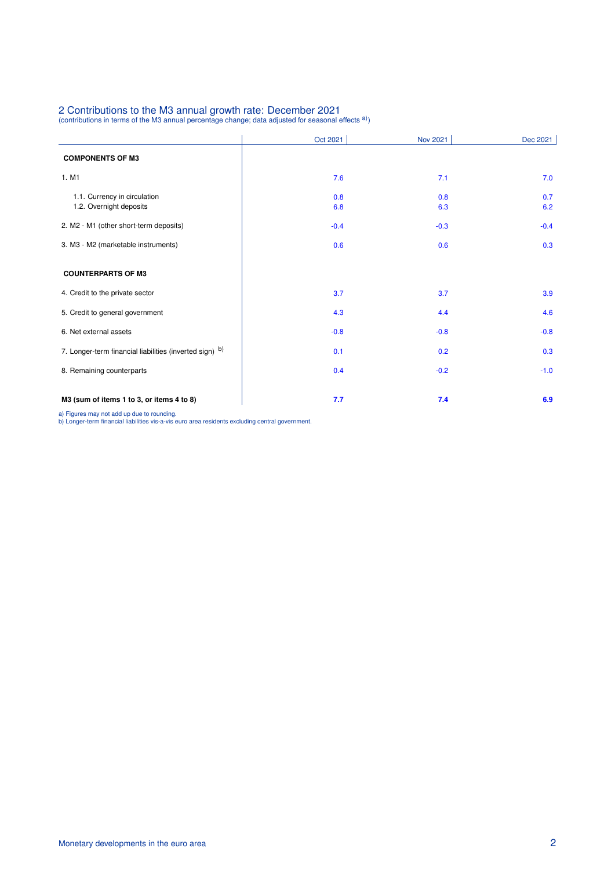## 2 Contributions to the M3 annual growth rate: December 2021<br>(contributions in terms of the M3 annual percentage change; data adjusted for seasonal effects <sup>a)</sup>)

|                                                         | Oct 2021   | <b>Nov 2021</b> | Dec 2021   |
|---------------------------------------------------------|------------|-----------------|------------|
| <b>COMPONENTS OF M3</b>                                 |            |                 |            |
| 1. M1                                                   | 7.6        | 7.1             | 7.0        |
| 1.1. Currency in circulation<br>1.2. Overnight deposits | 0.8<br>6.8 | 0.8<br>6.3      | 0.7<br>6.2 |
| 2. M2 - M1 (other short-term deposits)                  | $-0.4$     | $-0.3$          | $-0.4$     |
| 3. M3 - M2 (marketable instruments)                     | 0.6        | 0.6             | 0.3        |
| <b>COUNTERPARTS OF M3</b>                               |            |                 |            |
| 4. Credit to the private sector                         | 3.7        | 3.7             | 3.9        |
| 5. Credit to general government                         | 4.3        | 4.4             | 4.6        |
| 6. Net external assets                                  | $-0.8$     | $-0.8$          | $-0.8$     |
| 7. Longer-term financial liabilities (inverted sign) b) | 0.1        | 0.2             | 0.3        |
| 8. Remaining counterparts                               | 0.4        | $-0.2$          | $-1.0$     |
| M3 (sum of items 1 to 3, or items 4 to 8)               | 7.7        | 7.4             | 6.9        |

a) Figures may not add up due to rounding. b) Longer-term financial liabilities vis-a-vis euro area residents excluding central government.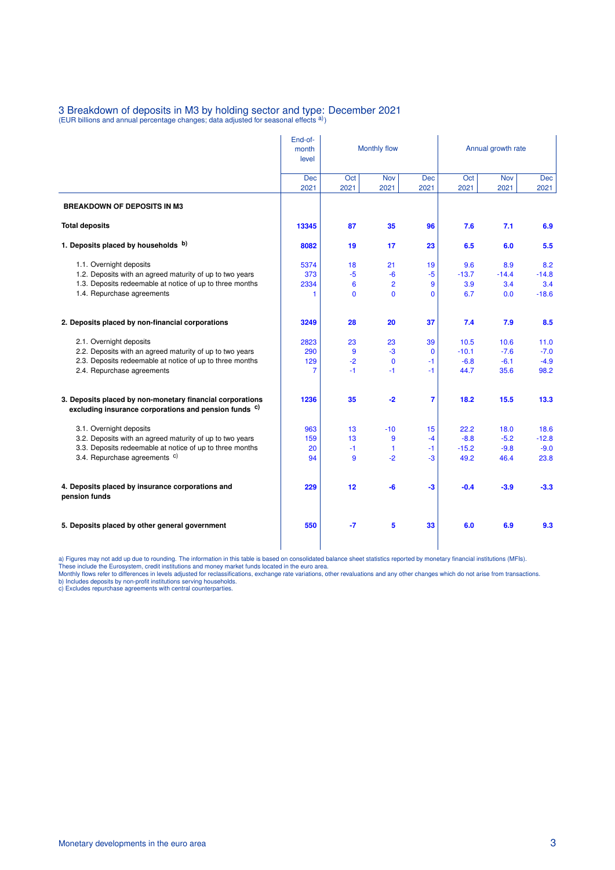## 3 Breakdown of deposits in M3 by holding sector and type: December 2021<br>(EUR billions and annual percentage changes; data adjusted for seasonal effects <sup>a)</sup>)

|                                                                                                                               | End-of-<br>month<br>level | Monthly flow |                |                    | Annual growth rate |             |             |  |
|-------------------------------------------------------------------------------------------------------------------------------|---------------------------|--------------|----------------|--------------------|--------------------|-------------|-------------|--|
|                                                                                                                               | <b>Dec</b><br>2021        | Oct<br>2021  | Nov<br>2021    | <b>Dec</b><br>2021 | Oct<br>2021        | Nov<br>2021 | Dec<br>2021 |  |
| <b>BREAKDOWN OF DEPOSITS IN M3</b>                                                                                            |                           |              |                |                    |                    |             |             |  |
| <b>Total deposits</b>                                                                                                         | 13345                     | 87           | 35             | 96                 | 7.6                | 7.1         | 6.9         |  |
| 1. Deposits placed by households b)                                                                                           | 8082                      | 19           | 17             | 23                 | 6.5                | 6.0         | 5.5         |  |
| 1.1. Overnight deposits                                                                                                       | 5374                      | 18           | 21             | 19                 | 9.6                | 8.9         | 8.2         |  |
| 1.2. Deposits with an agreed maturity of up to two years                                                                      | 373                       | $-5$         | $-6$           | $-5$               | $-13.7$            | $-14.4$     | $-14.8$     |  |
| 1.3. Deposits redeemable at notice of up to three months                                                                      | 2334                      | 6            | $\overline{2}$ | 9                  | 3.9                | 3.4         | 3.4         |  |
| 1.4. Repurchase agreements                                                                                                    | 1                         | $\mathbf{0}$ | $\mathbf 0$    | $\Omega$           | 6.7                | 0.0         | $-18.6$     |  |
| 2. Deposits placed by non-financial corporations                                                                              | 3249                      | 28           | 20             | 37                 | 7.4                | 7.9         | 8.5         |  |
| 2.1. Overnight deposits                                                                                                       | 2823                      | 23           | 23             | 39                 | 10.5               | 10.6        | 11.0        |  |
| 2.2. Deposits with an agreed maturity of up to two years                                                                      | 290                       | 9            | $-3$           | $\mathbf{0}$       | $-10.1$            | $-7.6$      | $-7.0$      |  |
| 2.3. Deposits redeemable at notice of up to three months                                                                      | 129                       | $-2$         | $\mathbf 0$    | $-1$               | $-6.8$             | $-6.1$      | $-4.9$      |  |
| 2.4. Repurchase agreements                                                                                                    | 7                         | -1           | -1             | $-1$               | 44.7               | 35.6        | 98.2        |  |
| 3. Deposits placed by non-monetary financial corporations<br>excluding insurance corporations and pension funds <sup>c)</sup> | 1236                      | 35           | $-2$           | $\overline{7}$     | 18.2               | 15.5        | 13.3        |  |
| 3.1. Overnight deposits                                                                                                       | 963                       | 13           | $-10$          | 15                 | 22.2               | 18.0        | 18.6        |  |
| 3.2. Deposits with an agreed maturity of up to two years                                                                      | 159                       | 13           | 9              | $-4$               | $-8.8$             | $-5.2$      | $-12.8$     |  |
| 3.3. Deposits redeemable at notice of up to three months                                                                      | 20                        | -1           | $\mathbf{1}$   | $-1$               | $-15.2$            | $-9.8$      | $-9.0$      |  |
| 3.4. Repurchase agreements <sup>c)</sup>                                                                                      | 94                        | 9            | $-2$           | -3                 | 49.2               | 46.4        | 23.8        |  |
| 4. Deposits placed by insurance corporations and<br>pension funds                                                             | 229                       | 12           | $-6$           | $-3$               | $-0.4$             | $-3.9$      | $-3.3$      |  |
| 5. Deposits placed by other general government                                                                                | 550                       | $-7$         | $5\phantom{1}$ | 33                 | 6.0                | 6.9         | 9.3         |  |

a) Figures may not add up due to rounding. The information in this table is based on consolidated balance sheet statistics reported by monetary financial institutions (MFIs).<br>These include the Eurosystem, credit institutio